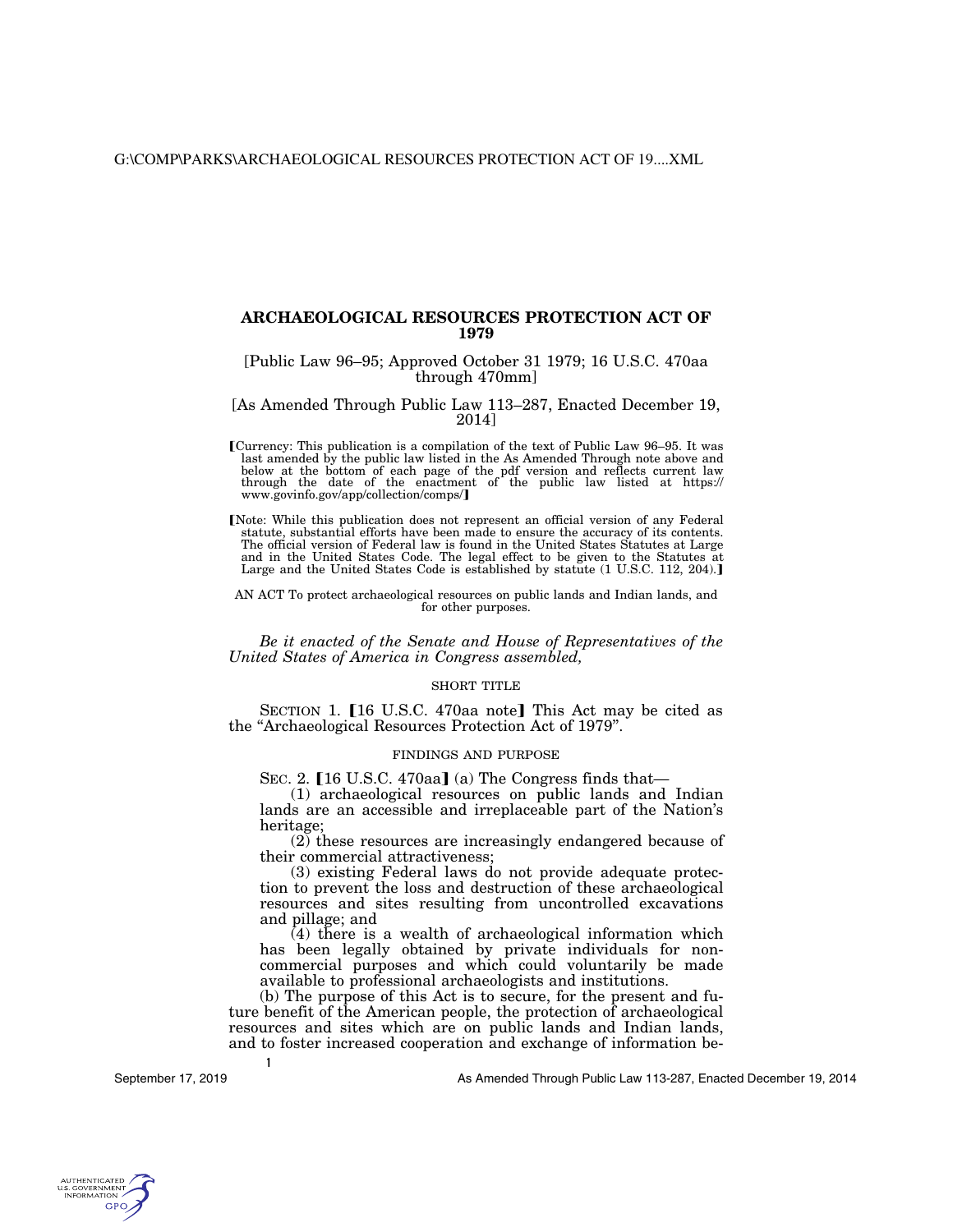# **ARCHAEOLOGICAL RESOURCES PROTECTION ACT OF 1979**

# [Public Law 96–95; Approved October 31 1979; 16 U.S.C. 470aa through 470mm]

## [As Amended Through Public Law 113–287, Enacted December 19, 2014]

- [Currency: This publication is a compilation of the text of Public Law 96-95. It was last amended by the public law listed in the As Amended Through note above and below at the bottom of each page of the pdf version and reflects current law through the date of the enactment of the public law listed at https:// www.govinfo.gov/app/collection/comps/
- [Note: While this publication does not represent an official version of any Federal statute, substantial efforts have been made to ensure the accuracy of its contents. The official version of Federal law is found in the United States Statutes at Large and in the United States Code. The legal effect to be given to the Statutes at Large and the United States Code is established by statute (1 U.S.C. 112, 204).

AN ACT To protect archaeological resources on public lands and Indian lands, and for other purposes.

*Be it enacted of the Senate and House of Representatives of the United States of America in Congress assembled,* 

# SHORT TITLE

SECTION 1. **[16 U.S.C. 470aa note]** This Act may be cited as the ''Archaeological Resources Protection Act of 1979''.

#### FINDINGS AND PURPOSE

SEC. 2.  $[16 \text{ U.S.C. } 470 \text{aa}]$  (a) The Congress finds that-

(1) archaeological resources on public lands and Indian lands are an accessible and irreplaceable part of the Nation's heritage;

 $(2)$  these resources are increasingly endangered because of their commercial attractiveness;

(3) existing Federal laws do not provide adequate protection to prevent the loss and destruction of these archaeological resources and sites resulting from uncontrolled excavations and pillage; and

(4) there is a wealth of archaeological information which has been legally obtained by private individuals for noncommercial purposes and which could voluntarily be made available to professional archaeologists and institutions.

(b) The purpose of this Act is to secure, for the present and future benefit of the American people, the protection of archaeological resources and sites which are on public lands and Indian lands, and to foster increased cooperation and exchange of information be-

September 17, 2019

**1** 

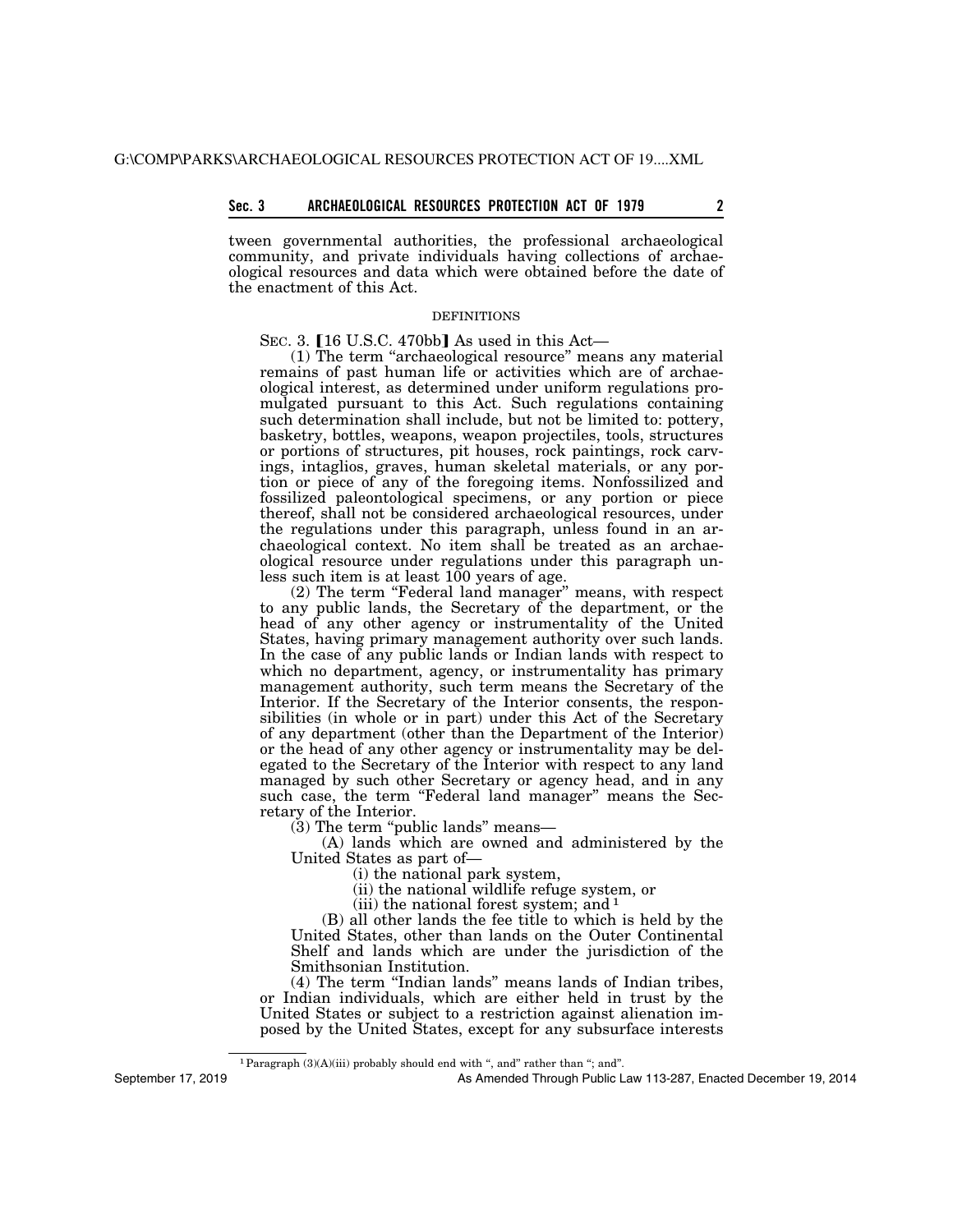## **Sec. 3 ARCHAEOLOGICAL RESOURCES PROTECTION ACT OF 1979 2**

tween governmental authorities, the professional archaeological community, and private individuals having collections of archaeological resources and data which were obtained before the date of the enactment of this Act.

# DEFINITIONS

SEC. 3.  $[16$  U.S.C. 470bb] As used in this Act—

(1) The term ''archaeological resource'' means any material remains of past human life or activities which are of archaeological interest, as determined under uniform regulations promulgated pursuant to this Act. Such regulations containing such determination shall include, but not be limited to: pottery, basketry, bottles, weapons, weapon projectiles, tools, structures or portions of structures, pit houses, rock paintings, rock carvings, intaglios, graves, human skeletal materials, or any portion or piece of any of the foregoing items. Nonfossilized and fossilized paleontological specimens, or any portion or piece thereof, shall not be considered archaeological resources, under the regulations under this paragraph, unless found in an archaeological context. No item shall be treated as an archaeological resource under regulations under this paragraph unless such item is at least 100 years of age.

(2) The term "Federal land manager" means, with respect to any public lands, the Secretary of the department, or the head of any other agency or instrumentality of the United States, having primary management authority over such lands. In the case of any public lands or Indian lands with respect to which no department, agency, or instrumentality has primary management authority, such term means the Secretary of the Interior. If the Secretary of the Interior consents, the responsibilities (in whole or in part) under this Act of the Secretary of any department (other than the Department of the Interior) or the head of any other agency or instrumentality may be delegated to the Secretary of the Interior with respect to any land managed by such other Secretary or agency head, and in any such case, the term "Federal land manager" means the Secretary of the Interior.

(3) The term ''public lands'' means—

(A) lands which are owned and administered by the United States as part of—

(i) the national park system,

(ii) the national wildlife refuge system, or

(iii) the national forest system; and 1

(B) all other lands the fee title to which is held by the United States, other than lands on the Outer Continental Shelf and lands which are under the jurisdiction of the Smithsonian Institution.

(4) The term ''Indian lands'' means lands of Indian tribes, or Indian individuals, which are either held in trust by the United States or subject to a restriction against alienation imposed by the United States, except for any subsurface interests

<sup>1</sup>Paragraph (3)(A)(iii) probably should end with ", and" rather than "; and".

September 17, 2019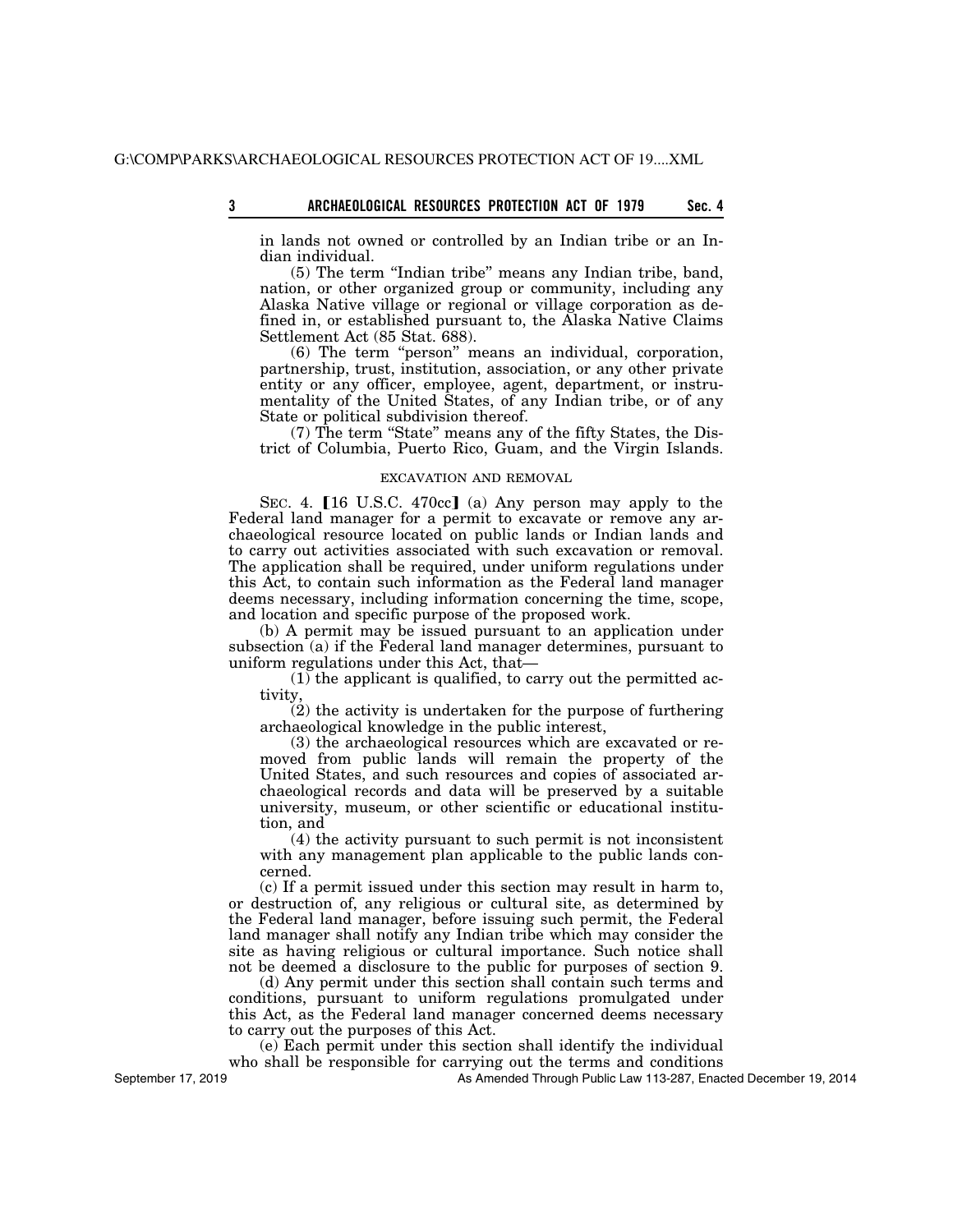in lands not owned or controlled by an Indian tribe or an Indian individual.

(5) The term ''Indian tribe'' means any Indian tribe, band, nation, or other organized group or community, including any Alaska Native village or regional or village corporation as defined in, or established pursuant to, the Alaska Native Claims Settlement Act (85 Stat. 688).

(6) The term ''person'' means an individual, corporation, partnership, trust, institution, association, or any other private entity or any officer, employee, agent, department, or instrumentality of the United States, of any Indian tribe, or of any State or political subdivision thereof.

(7) The term ''State'' means any of the fifty States, the District of Columbia, Puerto Rico, Guam, and the Virgin Islands.

## EXCAVATION AND REMOVAL

SEC. 4. [16 U.S.C. 470cc] (a) Any person may apply to the Federal land manager for a permit to excavate or remove any archaeological resource located on public lands or Indian lands and to carry out activities associated with such excavation or removal. The application shall be required, under uniform regulations under this Act, to contain such information as the Federal land manager deems necessary, including information concerning the time, scope, and location and specific purpose of the proposed work.

(b) A permit may be issued pursuant to an application under subsection (a) if the Federal land manager determines, pursuant to uniform regulations under this Act, that—

(1) the applicant is qualified, to carry out the permitted activity,

(2) the activity is undertaken for the purpose of furthering archaeological knowledge in the public interest,

(3) the archaeological resources which are excavated or removed from public lands will remain the property of the United States, and such resources and copies of associated archaeological records and data will be preserved by a suitable university, museum, or other scientific or educational institution, and

(4) the activity pursuant to such permit is not inconsistent with any management plan applicable to the public lands concerned.

(c) If a permit issued under this section may result in harm to, or destruction of, any religious or cultural site, as determined by the Federal land manager, before issuing such permit, the Federal land manager shall notify any Indian tribe which may consider the site as having religious or cultural importance. Such notice shall not be deemed a disclosure to the public for purposes of section 9.

(d) Any permit under this section shall contain such terms and conditions, pursuant to uniform regulations promulgated under this Act, as the Federal land manager concerned deems necessary to carry out the purposes of this Act.

(e) Each permit under this section shall identify the individual

who shall be responsible for carrying out the terms and conditions

September 17, 2019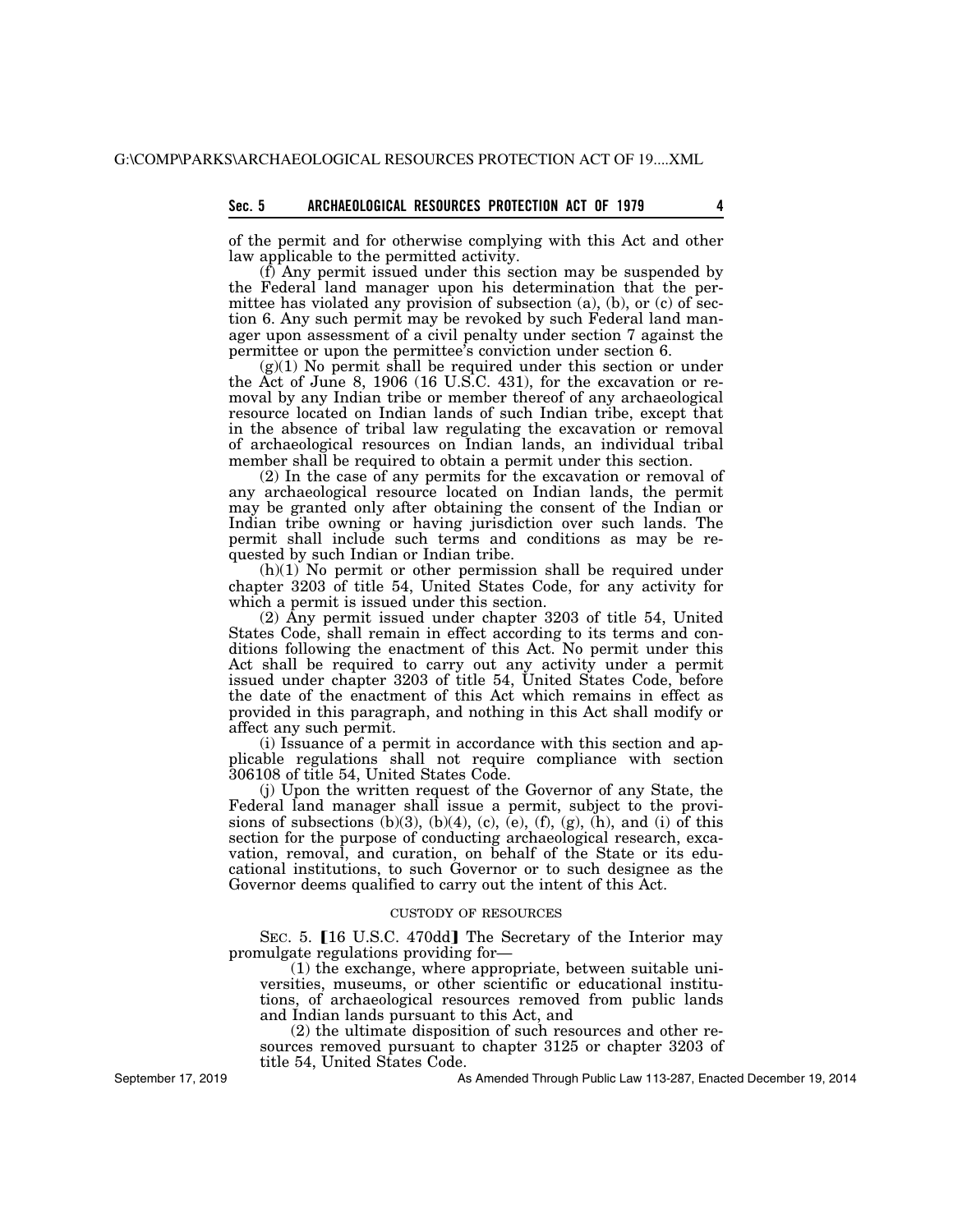of the permit and for otherwise complying with this Act and other law applicable to the permitted activity.

(f) Any permit issued under this section may be suspended by the Federal land manager upon his determination that the permittee has violated any provision of subsection (a), (b), or (c) of section 6. Any such permit may be revoked by such Federal land manager upon assessment of a civil penalty under section 7 against the permittee or upon the permittee's conviction under section 6.

 $(g)(1)$  No permit shall be required under this section or under the Act of June 8, 1906 (16 U.S.C. 431), for the excavation or removal by any Indian tribe or member thereof of any archaeological resource located on Indian lands of such Indian tribe, except that in the absence of tribal law regulating the excavation or removal of archaeological resources on Indian lands, an individual tribal member shall be required to obtain a permit under this section.

(2) In the case of any permits for the excavation or removal of any archaeological resource located on Indian lands, the permit may be granted only after obtaining the consent of the Indian or Indian tribe owning or having jurisdiction over such lands. The permit shall include such terms and conditions as may be requested by such Indian or Indian tribe.

(h)(1) No permit or other permission shall be required under chapter 3203 of title 54, United States Code, for any activity for which a permit is issued under this section.

(2) Any permit issued under chapter 3203 of title 54, United States Code, shall remain in effect according to its terms and conditions following the enactment of this Act. No permit under this Act shall be required to carry out any activity under a permit issued under chapter 3203 of title 54, United States Code, before the date of the enactment of this Act which remains in effect as provided in this paragraph, and nothing in this Act shall modify or affect any such permit.

(i) Issuance of a permit in accordance with this section and applicable regulations shall not require compliance with section 306108 of title 54, United States Code.

(j) Upon the written request of the Governor of any State, the Federal land manager shall issue a permit, subject to the provisions of subsections  $(b)(3)$ ,  $(b)(4)$ ,  $(c)$ ,  $(e)$ ,  $(f)$ ,  $(g)$ ,  $(h)$ , and  $(i)$  of this section for the purpose of conducting archaeological research, excavation, removal, and curation, on behalf of the State or its educational institutions, to such Governor or to such designee as the Governor deems qualified to carry out the intent of this Act.

## CUSTODY OF RESOURCES

SEC. 5. [16 U.S.C. 470dd] The Secretary of the Interior may promulgate regulations providing for—

(1) the exchange, where appropriate, between suitable universities, museums, or other scientific or educational institutions, of archaeological resources removed from public lands and Indian lands pursuant to this Act, and

(2) the ultimate disposition of such resources and other resources removed pursuant to chapter 3125 or chapter 3203 of title 54, United States Code.

September 17, 2019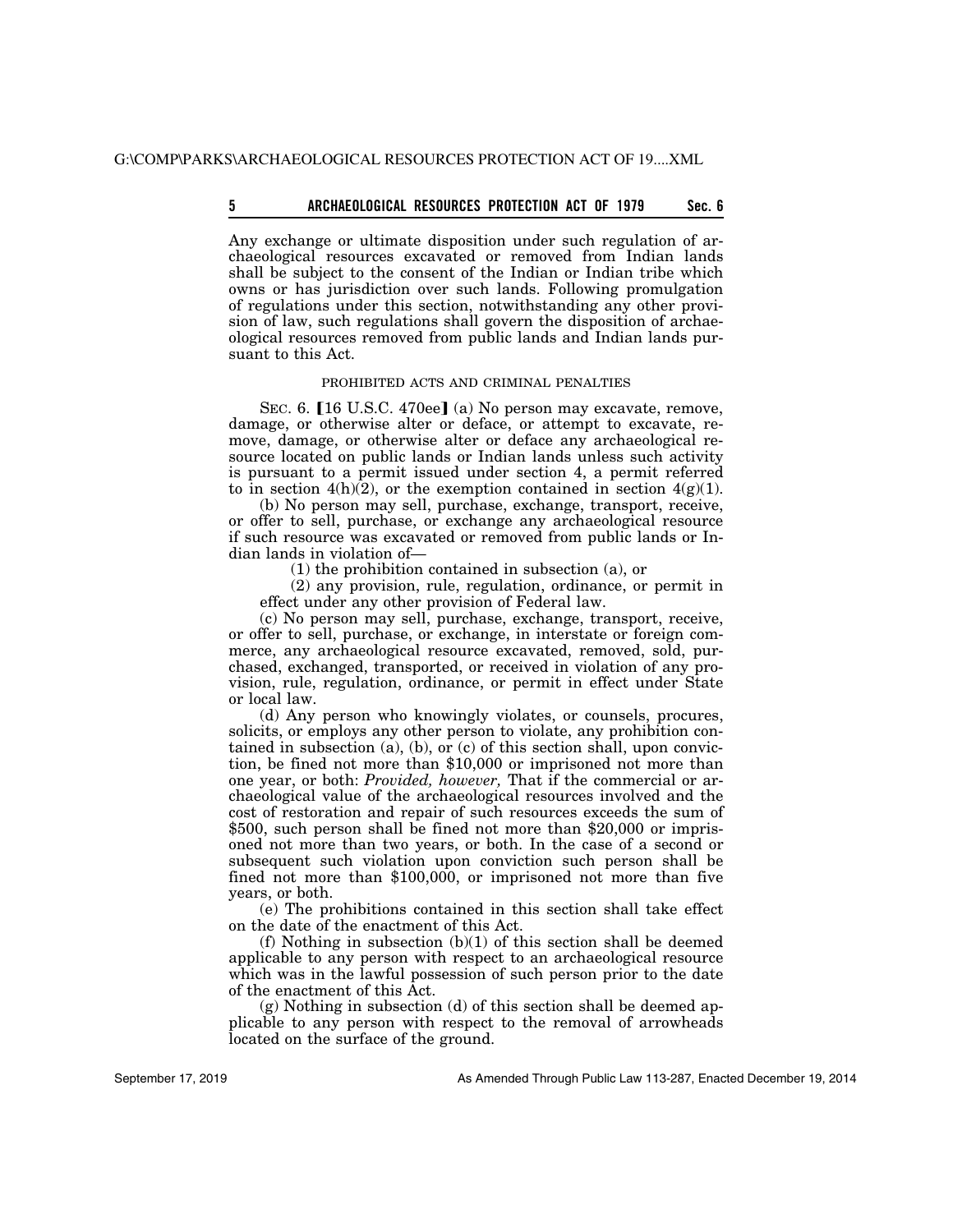# **5 Sec. 6 ARCHAEOLOGICAL RESOURCES PROTECTION ACT OF 1979**

Any exchange or ultimate disposition under such regulation of archaeological resources excavated or removed from Indian lands shall be subject to the consent of the Indian or Indian tribe which owns or has jurisdiction over such lands. Following promulgation of regulations under this section, notwithstanding any other provision of law, such regulations shall govern the disposition of archaeological resources removed from public lands and Indian lands pursuant to this Act.

### PROHIBITED ACTS AND CRIMINAL PENALTIES

SEC. 6. [16 U.S.C. 470ee] (a) No person may excavate, remove, damage, or otherwise alter or deface, or attempt to excavate, remove, damage, or otherwise alter or deface any archaeological resource located on public lands or Indian lands unless such activity is pursuant to a permit issued under section 4, a permit referred to in section  $4(h)(2)$ , or the exemption contained in section  $4(g)(1)$ .

(b) No person may sell, purchase, exchange, transport, receive, or offer to sell, purchase, or exchange any archaeological resource if such resource was excavated or removed from public lands or Indian lands in violation of—

(1) the prohibition contained in subsection (a), or

(2) any provision, rule, regulation, ordinance, or permit in effect under any other provision of Federal law.

(c) No person may sell, purchase, exchange, transport, receive, or offer to sell, purchase, or exchange, in interstate or foreign commerce, any archaeological resource excavated, removed, sold, purchased, exchanged, transported, or received in violation of any provision, rule, regulation, ordinance, or permit in effect under State or local law.

(d) Any person who knowingly violates, or counsels, procures, solicits, or employs any other person to violate, any prohibition contained in subsection (a), (b), or (c) of this section shall, upon conviction, be fined not more than \$10,000 or imprisoned not more than one year, or both: *Provided, however,* That if the commercial or archaeological value of the archaeological resources involved and the cost of restoration and repair of such resources exceeds the sum of \$500, such person shall be fined not more than \$20,000 or imprisoned not more than two years, or both. In the case of a second or subsequent such violation upon conviction such person shall be fined not more than \$100,000, or imprisoned not more than five years, or both.

(e) The prohibitions contained in this section shall take effect on the date of the enactment of this Act.

(f) Nothing in subsection (b)(1) of this section shall be deemed applicable to any person with respect to an archaeological resource which was in the lawful possession of such person prior to the date of the enactment of this Act.

(g) Nothing in subsection (d) of this section shall be deemed applicable to any person with respect to the removal of arrowheads located on the surface of the ground.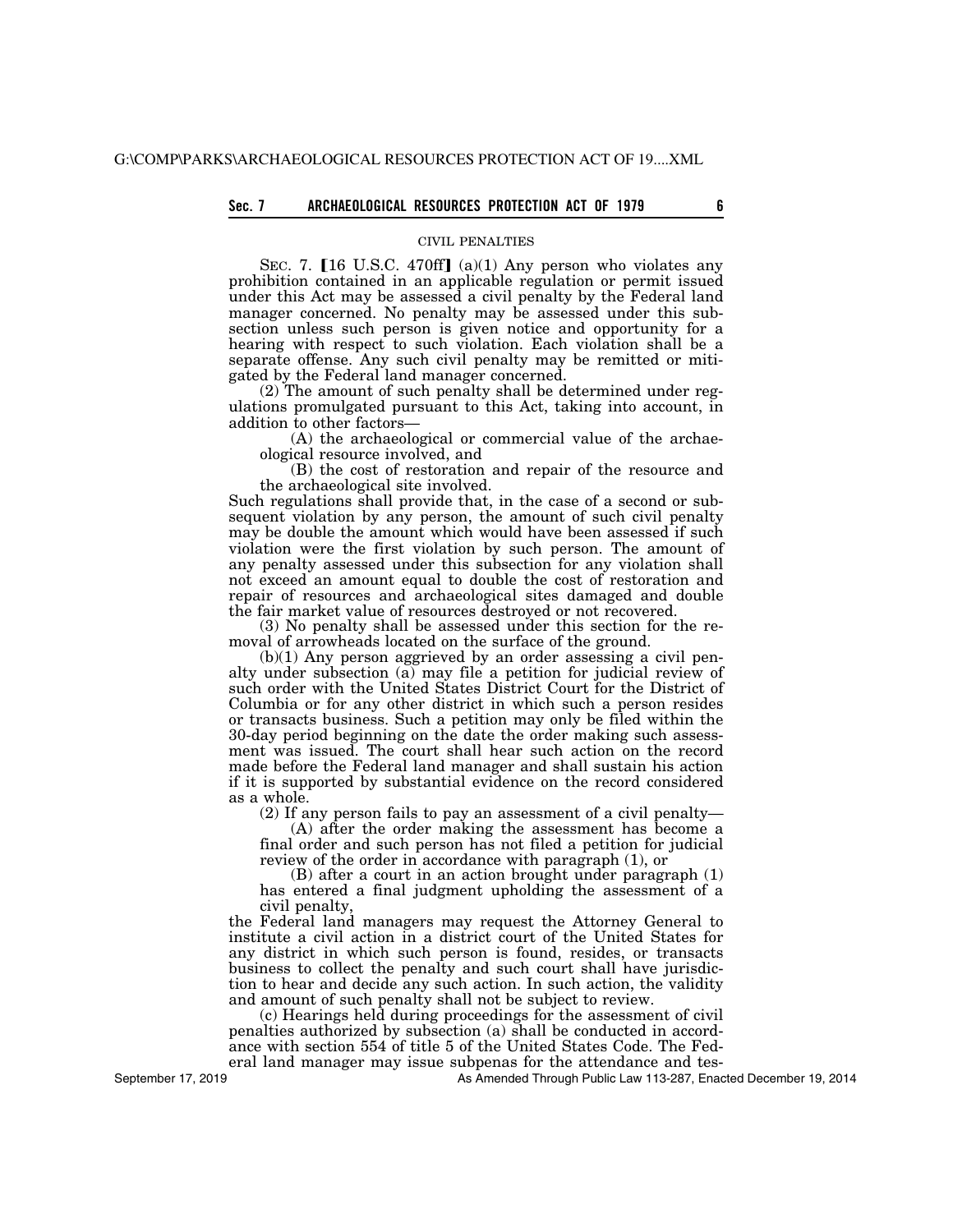# **Sec. 7 ARCHAEOLOGICAL RESOURCES PROTECTION ACT OF 1979 6**

#### CIVIL PENALTIES

SEC. 7.  $[16 \text{ U.S.C. } 470 \text{ ff}]$  (a)(1) Any person who violates any prohibition contained in an applicable regulation or permit issued under this Act may be assessed a civil penalty by the Federal land manager concerned. No penalty may be assessed under this subsection unless such person is given notice and opportunity for a hearing with respect to such violation. Each violation shall be a separate offense. Any such civil penalty may be remitted or mitigated by the Federal land manager concerned.

(2) The amount of such penalty shall be determined under regulations promulgated pursuant to this Act, taking into account, in addition to other factors—

(A) the archaeological or commercial value of the archaeological resource involved, and

(B) the cost of restoration and repair of the resource and the archaeological site involved.

Such regulations shall provide that, in the case of a second or subsequent violation by any person, the amount of such civil penalty may be double the amount which would have been assessed if such violation were the first violation by such person. The amount of any penalty assessed under this subsection for any violation shall not exceed an amount equal to double the cost of restoration and repair of resources and archaeological sites damaged and double the fair market value of resources destroyed or not recovered.

(3) No penalty shall be assessed under this section for the removal of arrowheads located on the surface of the ground.

(b)(1) Any person aggrieved by an order assessing a civil penalty under subsection (a) may file a petition for judicial review of such order with the United States District Court for the District of Columbia or for any other district in which such a person resides or transacts business. Such a petition may only be filed within the 30-day period beginning on the date the order making such assessment was issued. The court shall hear such action on the record made before the Federal land manager and shall sustain his action if it is supported by substantial evidence on the record considered as a whole.

(2) If any person fails to pay an assessment of a civil penalty—

(A) after the order making the assessment has become a final order and such person has not filed a petition for judicial review of the order in accordance with paragraph (1), or

(B) after a court in an action brought under paragraph (1) has entered a final judgment upholding the assessment of a civil penalty,

the Federal land managers may request the Attorney General to institute a civil action in a district court of the United States for any district in which such person is found, resides, or transacts business to collect the penalty and such court shall have jurisdiction to hear and decide any such action. In such action, the validity and amount of such penalty shall not be subject to review.

(c) Hearings held during proceedings for the assessment of civil penalties authorized by subsection (a) shall be conducted in accordance with section 554 of title 5 of the United States Code. The Federal land manager may issue subpenas for the attendance and tes-

September 17, 2019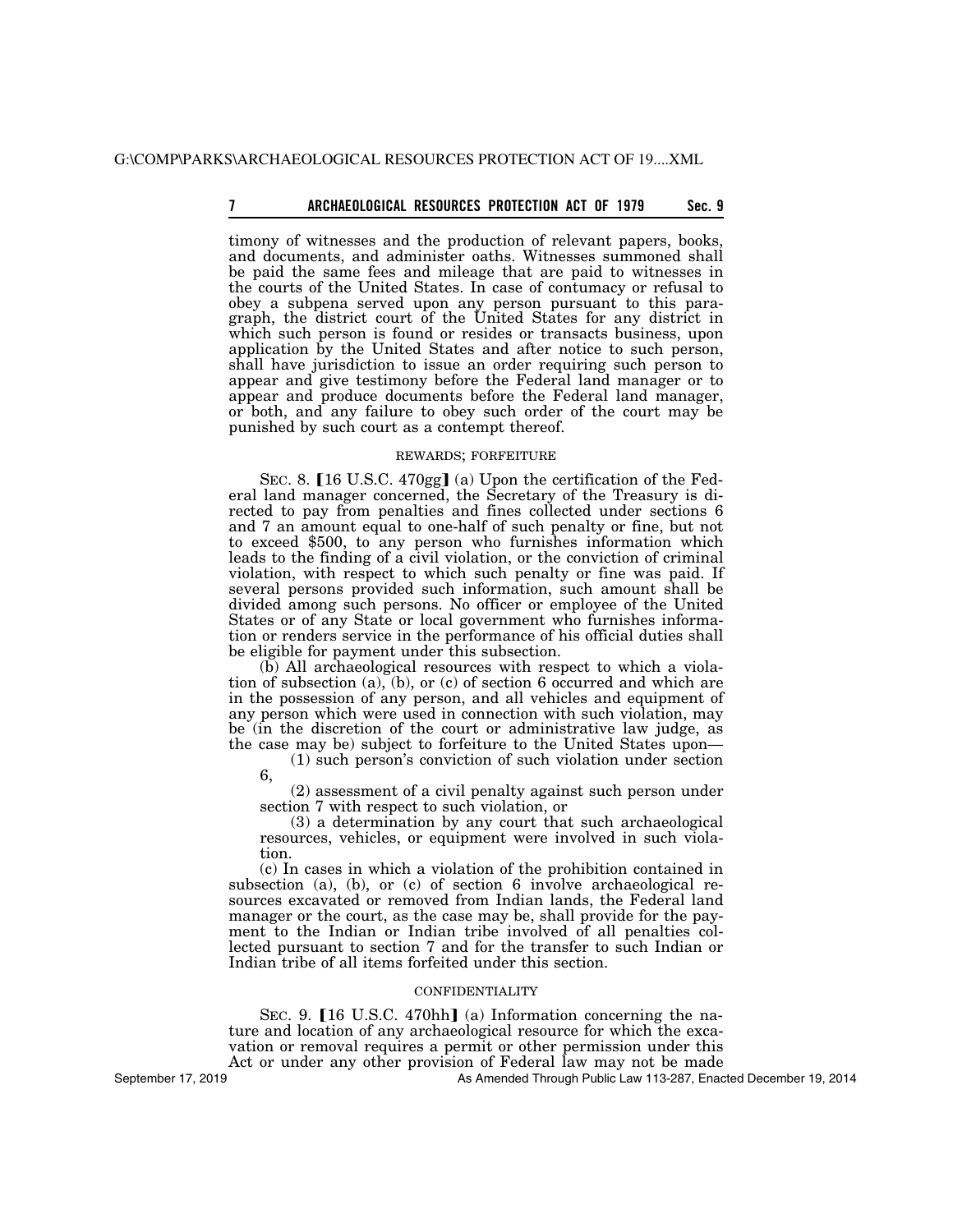# **7 Sec. 9 ARCHAEOLOGICAL RESOURCES PROTECTION ACT OF 1979**

timony of witnesses and the production of relevant papers, books, and documents, and administer oaths. Witnesses summoned shall be paid the same fees and mileage that are paid to witnesses in the courts of the United States. In case of contumacy or refusal to obey a subpena served upon any person pursuant to this paragraph, the district court of the United States for any district in which such person is found or resides or transacts business, upon application by the United States and after notice to such person, shall have jurisdiction to issue an order requiring such person to appear and give testimony before the Federal land manager or to appear and produce documents before the Federal land manager, or both, and any failure to obey such order of the court may be punished by such court as a contempt thereof.

#### REWARDS; FORFEITURE

SEC. 8.  $[16 \text{ U.S.C. } 470 \text{ gg}]$  (a) Upon the certification of the Federal land manager concerned, the Secretary of the Treasury is directed to pay from penalties and fines collected under sections 6 and 7 an amount equal to one-half of such penalty or fine, but not to exceed \$500, to any person who furnishes information which leads to the finding of a civil violation, or the conviction of criminal violation, with respect to which such penalty or fine was paid. If several persons provided such information, such amount shall be divided among such persons. No officer or employee of the United States or of any State or local government who furnishes information or renders service in the performance of his official duties shall be eligible for payment under this subsection.

(b) All archaeological resources with respect to which a violation of subsection  $(a)$ ,  $(b)$ , or  $(c)$  of section 6 occurred and which are in the possession of any person, and all vehicles and equipment of any person which were used in connection with such violation, may be (in the discretion of the court or administrative law judge, as the case may be) subject to forfeiture to the United States upon—

(1) such person's conviction of such violation under section 6,

(2) assessment of a civil penalty against such person under section 7 with respect to such violation, or

(3) a determination by any court that such archaeological resources, vehicles, or equipment were involved in such violation.

(c) In cases in which a violation of the prohibition contained in subsection (a), (b), or (c) of section 6 involve archaeological resources excavated or removed from Indian lands, the Federal land manager or the court, as the case may be, shall provide for the payment to the Indian or Indian tribe involved of all penalties collected pursuant to section 7 and for the transfer to such Indian or Indian tribe of all items forfeited under this section.

## **CONFIDENTIALITY**

SEC. 9.  $[16 \text{ U.S.C. } 470 \text{hh}]$  (a) Information concerning the nature and location of any archaeological resource for which the excavation or removal requires a permit or other permission under this Act or under any other provision of Federal law may not be made

September 17, 2019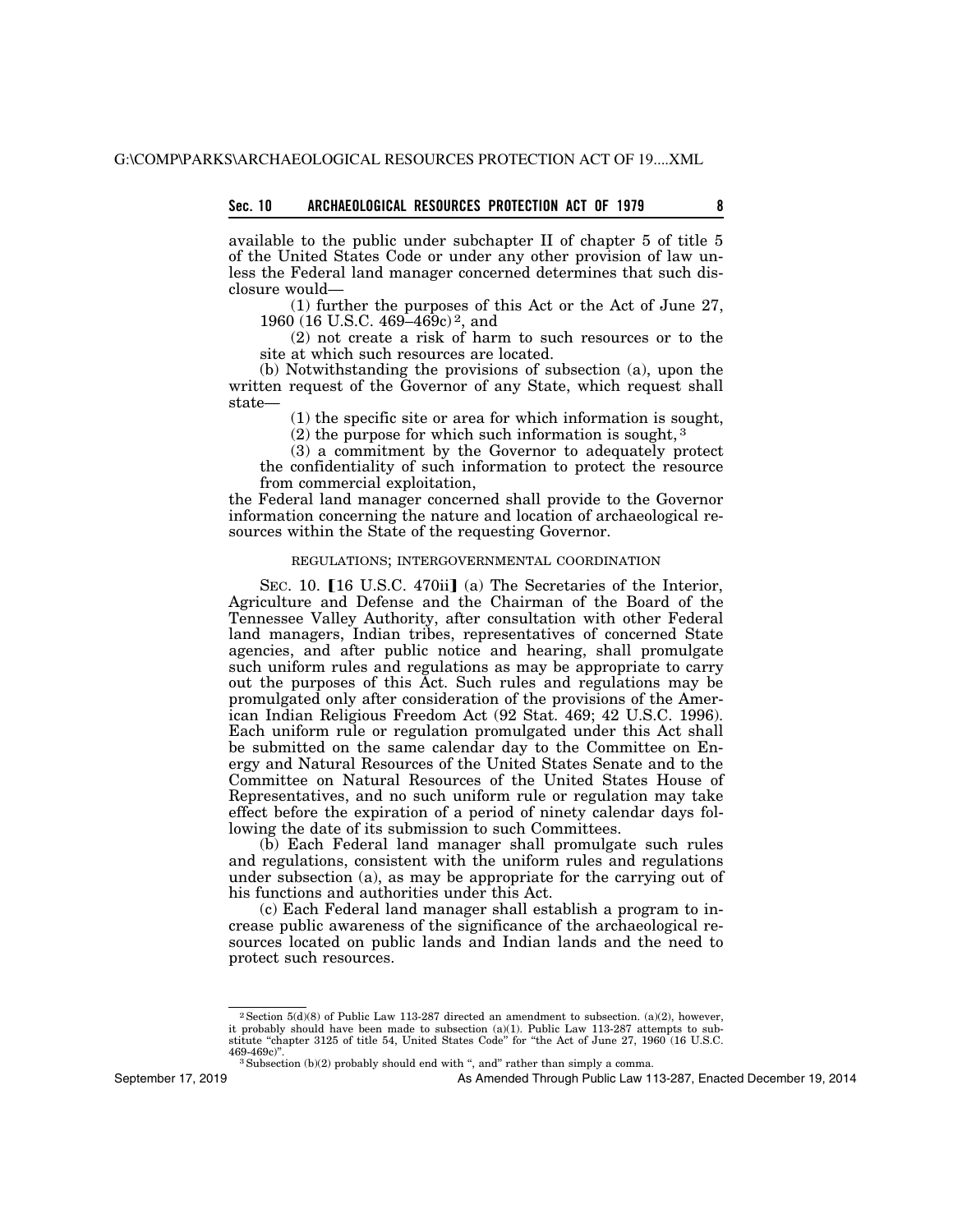available to the public under subchapter II of chapter 5 of title 5 of the United States Code or under any other provision of law unless the Federal land manager concerned determines that such disclosure would—

(1) further the purposes of this Act or the Act of June 27, 1960 (16 U.S.C. 469–469c) 2, and

(2) not create a risk of harm to such resources or to the site at which such resources are located.

(b) Notwithstanding the provisions of subsection (a), upon the written request of the Governor of any State, which request shall state—

(1) the specific site or area for which information is sought,

(2) the purpose for which such information is sought, 3

(3) a commitment by the Governor to adequately protect the confidentiality of such information to protect the resource from commercial exploitation,

the Federal land manager concerned shall provide to the Governor information concerning the nature and location of archaeological resources within the State of the requesting Governor.

#### REGULATIONS; INTERGOVERNMENTAL COORDINATION

SEC. 10.  $[16 \text{ U.S.C. } 470\text{ii}]$  (a) The Secretaries of the Interior, Agriculture and Defense and the Chairman of the Board of the Tennessee Valley Authority, after consultation with other Federal land managers, Indian tribes, representatives of concerned State agencies, and after public notice and hearing, shall promulgate such uniform rules and regulations as may be appropriate to carry out the purposes of this Act. Such rules and regulations may be promulgated only after consideration of the provisions of the American Indian Religious Freedom Act (92 Stat. 469; 42 U.S.C. 1996). Each uniform rule or regulation promulgated under this Act shall be submitted on the same calendar day to the Committee on Energy and Natural Resources of the United States Senate and to the Committee on Natural Resources of the United States House of Representatives, and no such uniform rule or regulation may take effect before the expiration of a period of ninety calendar days following the date of its submission to such Committees.

(b) Each Federal land manager shall promulgate such rules and regulations, consistent with the uniform rules and regulations under subsection (a), as may be appropriate for the carrying out of his functions and authorities under this Act.

(c) Each Federal land manager shall establish a program to increase public awareness of the significance of the archaeological resources located on public lands and Indian lands and the need to protect such resources.

As Amended Through Public Law 113-287, Enacted December 19, 2014

September 17, 2019

<sup>2</sup>Section 5(d)(8) of Public Law 113-287 directed an amendment to subsection. (a)(2), however,

it probably should have been made to subsection (a)(1). Public Law 113-287 attempts to sub-stitute ''chapter 3125 of title 54, United States Code'' for ''the Act of June 27, 1960 (16 U.S.C.

 $469-469c$ ".<br><sup>3</sup>Subsection (b)(2) probably should end with ", and" rather than simply a comma.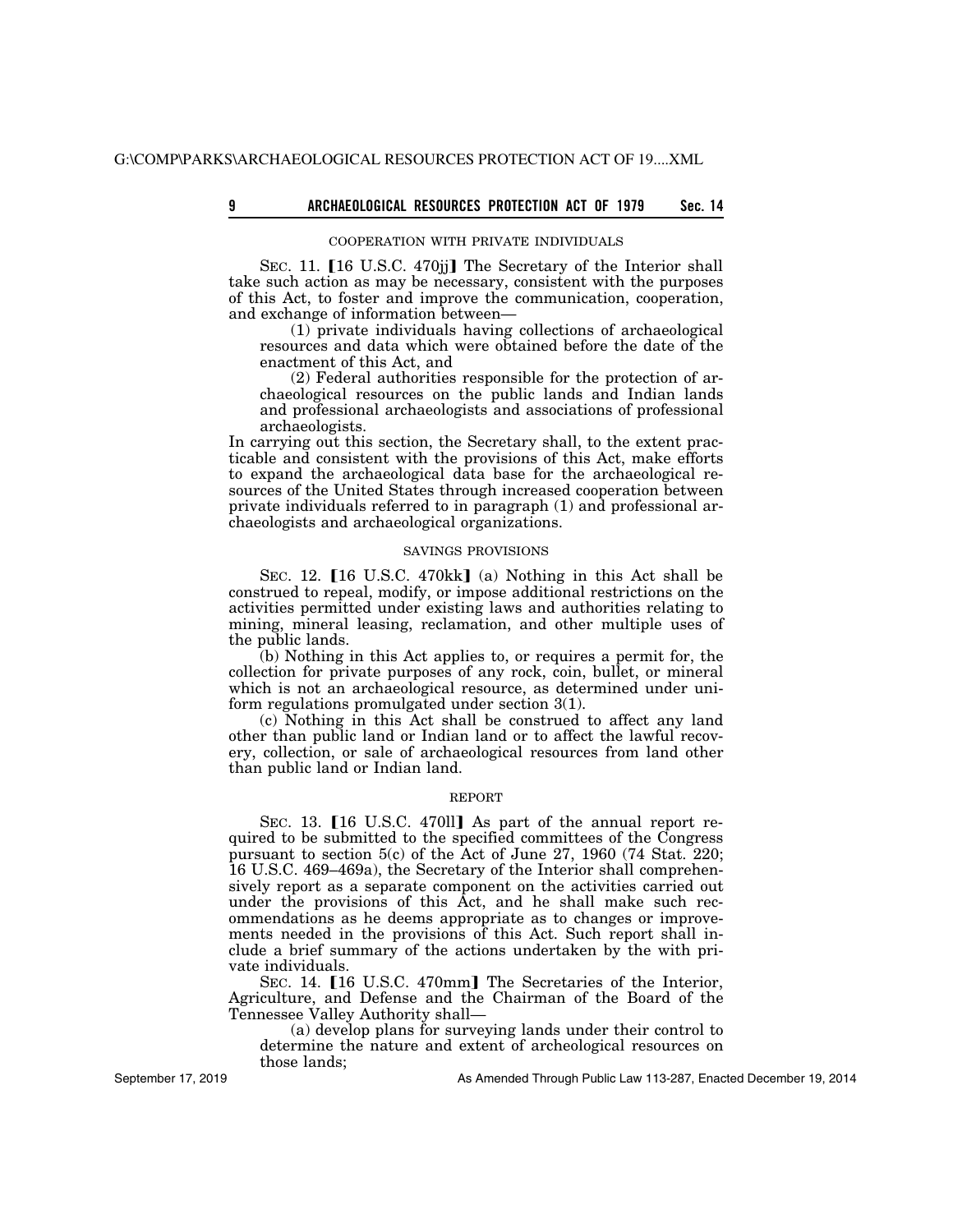# **9 BEARCHAEOLOGICAL RESOURCES PROTECTION ACT OF 1979 Sec. 14**

## COOPERATION WITH PRIVATE INDIVIDUALS

SEC. 11. [16 U.S.C. 470jj] The Secretary of the Interior shall take such action as may be necessary, consistent with the purposes of this Act, to foster and improve the communication, cooperation, and exchange of information between—

(1) private individuals having collections of archaeological resources and data which were obtained before the date of the enactment of this Act, and

(2) Federal authorities responsible for the protection of archaeological resources on the public lands and Indian lands and professional archaeologists and associations of professional archaeologists.

In carrying out this section, the Secretary shall, to the extent practicable and consistent with the provisions of this Act, make efforts to expand the archaeological data base for the archaeological resources of the United States through increased cooperation between private individuals referred to in paragraph (1) and professional archaeologists and archaeological organizations.

# SAVINGS PROVISIONS

SEC. 12.  $[16 \text{ U.S.C. } 470 \text{k} \cdot \text{k}]$  (a) Nothing in this Act shall be construed to repeal, modify, or impose additional restrictions on the activities permitted under existing laws and authorities relating to mining, mineral leasing, reclamation, and other multiple uses of the public lands.

(b) Nothing in this Act applies to, or requires a permit for, the collection for private purposes of any rock, coin, bullet, or mineral which is not an archaeological resource, as determined under uniform regulations promulgated under section 3(1).

(c) Nothing in this Act shall be construed to affect any land other than public land or Indian land or to affect the lawful recovery, collection, or sale of archaeological resources from land other than public land or Indian land.

## REPORT

SEC. 13. [16 U.S.C. 470ll] As part of the annual report required to be submitted to the specified committees of the Congress pursuant to section 5(c) of the Act of June 27, 1960 (74 Stat. 220; 16 U.S.C. 469–469a), the Secretary of the Interior shall comprehensively report as a separate component on the activities carried out under the provisions of this Act, and he shall make such recommendations as he deems appropriate as to changes or improvements needed in the provisions of this Act. Such report shall include a brief summary of the actions undertaken by the with private individuals.

SEC. 14. [16 U.S.C. 470mm] The Secretaries of the Interior, Agriculture, and Defense and the Chairman of the Board of the Tennessee Valley Authority shall—

(a) develop plans for surveying lands under their control to determine the nature and extent of archeological resources on those lands;

September 17, 2019